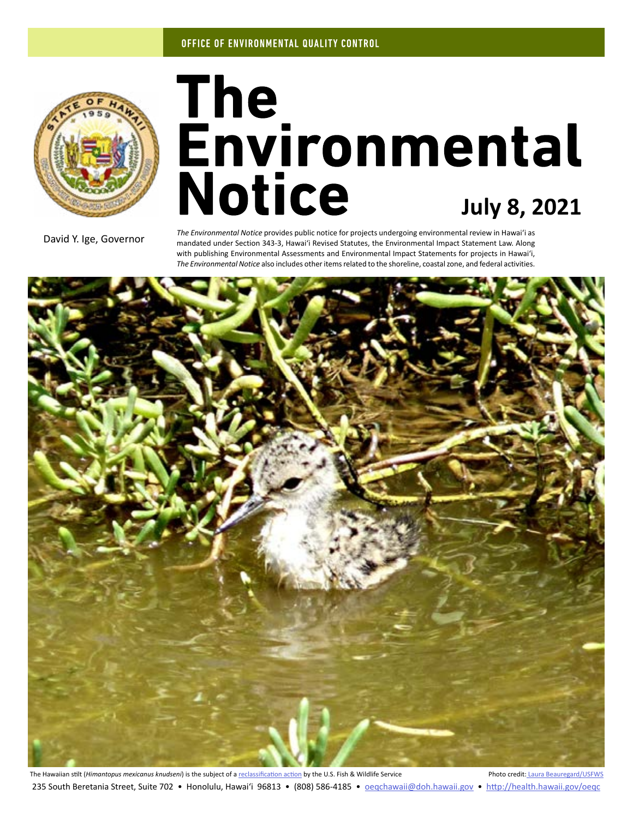

# The<br>**Environmental**<br>Notice July 8, 2021

David Y. Ige, Governor

*The Environmental Notice* provides public notice for projects undergoing environmental review in Hawaiʻi as mandated under Section 343-3, Hawaiʻi Revised Statutes, the Environmental Impact Statement Law. Along with publishing Environmental Assessments and Environmental Impact Statements for projects in Hawaiʻi, *The Environmental Notice* also includes other items related to the shoreline, coastal zone, and federal activities.



The Hawaiian stilt (*Himantopus mexicanus knudseni*) is the subject of a [reclassification action](#page-8-0) by the U.S. Fish & Wildlife Service Photo credit: [Laura Beauregard/USFWS](https://www.flickr.com/photos/usfwspacific/4945529835/in/photolist-8x28HM-XD1XHL-Ds332o-DRbjS5-DH5LG7-XD1VPf-EeeHJW-EnBmJw-YGkQZP-YiSj8d-E7YuLs-Ds35bo-dr5bEb-DkG74C-YGkQ5c-CW7dHz-Enrxmo-DJYxun-DsiiHT-DKnEcz-HxhhbT-DkGh2y-X13LMh-28CJyyi-YC9fsy-EejeZs-YGkueR-p6w81Y-p6wmXp-D7dgU3-EpWdDn-DTvt7h-JYMs2V-JYMsaa-28CJyVa-2eKVkkn-EgwxGe-2eFj1SA-GXTehF-SMjvAJ-DXzCEm-Dsy7we-DrXAuu-bRYw1n-E8q5pj-DRirLW-DKnDDk-CpHUxa-DJYu7R-DWSdbQ) 235 South Beretania Street, Suite 702 • Honolulu, Hawai'i 96813 • (808) 586-4185 • oegchawaii@doh.hawaii.gov • <http://health.hawaii.gov/oeqc>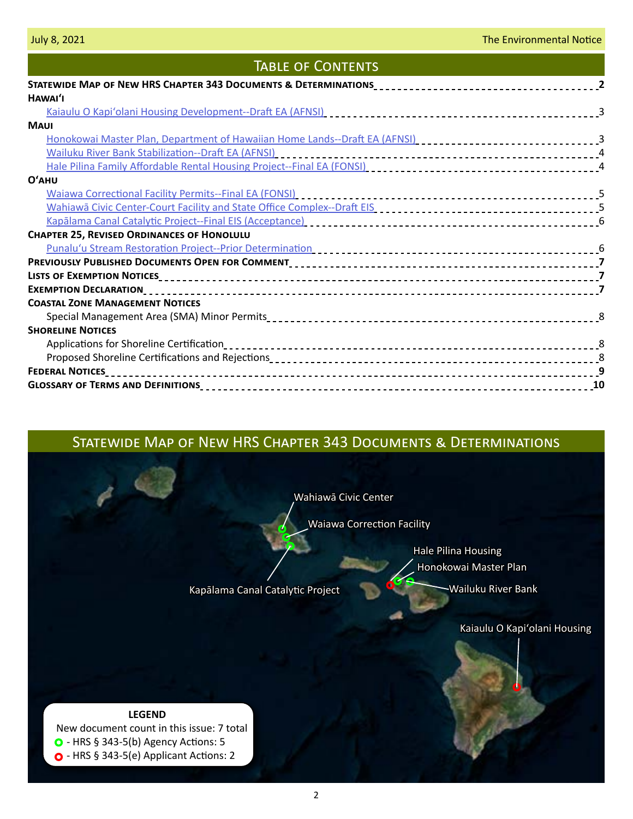# **TABLE OF CONTENTS**

| HAWAI'I                                                                                                                                                                                                                        |  |
|--------------------------------------------------------------------------------------------------------------------------------------------------------------------------------------------------------------------------------|--|
|                                                                                                                                                                                                                                |  |
| <b>MAUI</b>                                                                                                                                                                                                                    |  |
|                                                                                                                                                                                                                                |  |
|                                                                                                                                                                                                                                |  |
|                                                                                                                                                                                                                                |  |
| $O'$ AHU                                                                                                                                                                                                                       |  |
|                                                                                                                                                                                                                                |  |
| Wahiawa Civic Center-Court Facility and State Office Complex--Draft EIS [1] [1] [1] [1] [1] [1] [1] [1] [5] [1                                                                                                                 |  |
| Kapalama Canal Catalytic Project--Final EIS (Acceptance) [10] Andreas Cases 2014 [10] Mapalama Canal Catalytic Project--Final EIS (Acceptance) [10] Mapalas 2014 [10] Mapalas 2014 [10] Mapalas 2014 [10] Mapalas 2014 [10] Ma |  |
| <b>CHAPTER 25, REVISED ORDINANCES OF HONOLULU</b>                                                                                                                                                                              |  |
|                                                                                                                                                                                                                                |  |
|                                                                                                                                                                                                                                |  |
|                                                                                                                                                                                                                                |  |
|                                                                                                                                                                                                                                |  |
| <b>COASTAL ZONE MANAGEMENT NOTICES</b>                                                                                                                                                                                         |  |
|                                                                                                                                                                                                                                |  |
| <b>SHORELINE NOTICES</b>                                                                                                                                                                                                       |  |
|                                                                                                                                                                                                                                |  |
|                                                                                                                                                                                                                                |  |
|                                                                                                                                                                                                                                |  |
|                                                                                                                                                                                                                                |  |

# Statewide Map of New HRS Chapter 343 Documents & Determinations

[Wahiawā Civic Center](#page-4-0)

[Waiawa Correction Facility](#page-4-0)

[Honokowai Master Plan](#page-2-0) [Hale Pilina Housing](#page-3-0)

[Kapālama Canal Catalytic Project](#page-5-0) [Wailuku River Bank](#page-3-0)

[Kaiaulu O Kapiʻolani Housing](#page-2-0)

 New document count in this issue: 7 total  $\bullet$  - HRS § 343-5(b) Agency Actions: 5 O - HRS § 343-5(e) Applicant Actions: 2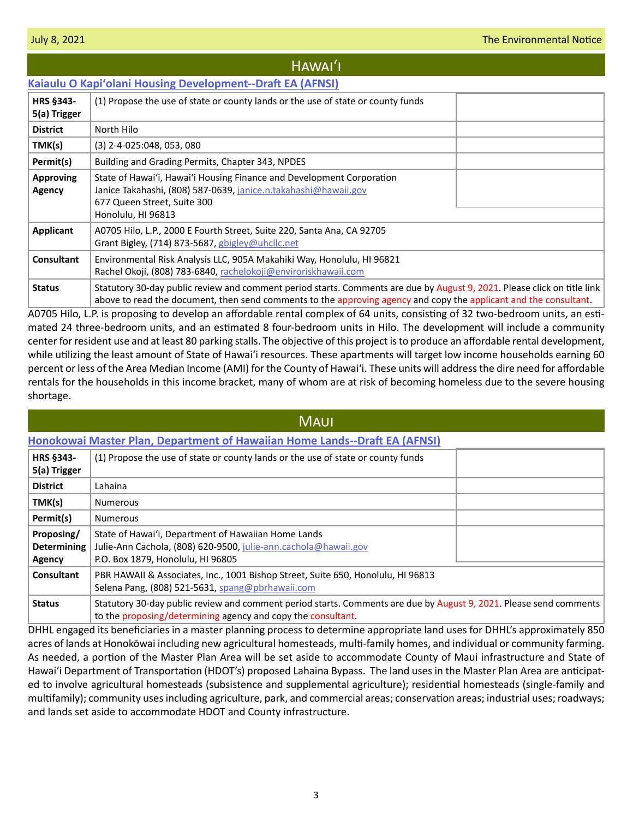## <span id="page-2-0"></span>**Kaiaulu O Kapi[ʻolani Housing Development--Draft EA \(AFNSI\)](http://oeqc2.doh.hawaii.gov/Doc_Library/2021-07-08-HA-DEA-Kaiaulu-O-Kapiolani-Housing-Development.pdf) HRS §343- 5(a) Trigger** (1) Propose the use of state or county lands or the use of state or county funds **District** | North Hilo **TMK(s)** (3) 2-4-025:048, 053, 080 **Permit(s)** Building and Grading Permits, Chapter 343, NPDES **Approving Agency** State of Hawaiʻi, Hawaiʻi Housing Finance and Development Corporation Janice Takahashi, (808) 587-0639, [janice.n.takahashi@hawaii.gov](mailto:janice.n.takahashi%40hawaii.gov?subject=) 677 Queen Street, Suite 300 Honolulu, HI 96813 **Applicant** A0705 Hilo, L.P., 2000 E Fourth Street, Suite 220, Santa Ana, CA 92705 Hawaiʻi

Grant Bigley, (714) 873-5687, [gbigley@uhcllc.net](mailto:gbigley%40uhcllc.net?subject=) **Consultant** | Environmental Risk Analysis LLC, 905A Makahiki Way, Honolulu, HI 96821 Rachel Okoji, (808) 783-6840, [rachelokoji@enviroriskhawaii.com](mailto:rachelokoji%40enviroriskhawaii.com?subject=) **Status** Statutory 30-day public review and comment period starts. Comments are due by August 9, 2021. Please click on title link above to read the document, then send comments to the approving agency and copy the applicant and the consultant.

A0705 Hilo, L.P. is proposing to develop an affordable rental complex of 64 units, consisting of 32 two-bedroom units, an estimated 24 three-bedroom units, and an estimated 8 four-bedroom units in Hilo. The development will include a community center for resident use and at least 80 parking stalls. The objective of this project is to produce an affordable rental development, while utilizing the least amount of State of Hawaiʻi resources. These apartments will target low income households earning 60 percent or less of the Area Median Income (AMI) for the County of Hawai'i. These units will address the dire need for affordable rentals for the households in this income bracket, many of whom are at risk of becoming homeless due to the severe housing shortage.

| <b>MAUI</b>                                |                                                                                                                                                                                    |  |  |  |
|--------------------------------------------|------------------------------------------------------------------------------------------------------------------------------------------------------------------------------------|--|--|--|
|                                            | Honokowai Master Plan, Department of Hawaiian Home Lands--Draft EA (AFNSI)                                                                                                         |  |  |  |
| HRS §343-<br>5(a) Trigger                  | (1) Propose the use of state or county lands or the use of state or county funds                                                                                                   |  |  |  |
| <b>District</b>                            | Lahaina                                                                                                                                                                            |  |  |  |
| TMK(s)                                     | <b>Numerous</b>                                                                                                                                                                    |  |  |  |
| Permit(s)                                  | <b>Numerous</b>                                                                                                                                                                    |  |  |  |
| Proposing/<br><b>Determining</b><br>Agency | State of Hawai'i, Department of Hawaiian Home Lands<br>Julie-Ann Cachola, (808) 620-9500, julie-ann.cachola@hawaii.gov<br>P.O. Box 1879, Honolulu, HI 96805                        |  |  |  |
| Consultant                                 | PBR HAWAII & Associates, Inc., 1001 Bishop Street, Suite 650, Honolulu, HI 96813<br>Selena Pang, (808) 521-5631, spang@pbrhawaii.com                                               |  |  |  |
| <b>Status</b>                              | Statutory 30-day public review and comment period starts. Comments are due by August 9, 2021. Please send comments<br>to the proposing/determining agency and copy the consultant. |  |  |  |

DHHL engaged its beneficiaries in a master planning process to determine appropriate land uses for DHHL's approximately 850 acres of lands at Honokōwai including new agricultural homesteads, multi-family homes, and individual or community farming. As needed, a portion of the Master Plan Area will be set aside to accommodate County of Maui infrastructure and State of Hawai'i Department of Transportation (HDOT's) proposed Lahaina Bypass. The land uses in the Master Plan Area are anticipated to involve agricultural homesteads (subsistence and supplemental agriculture); residential homesteads (single-family and multifamily); community uses including agriculture, park, and commercial areas; conservation areas; industrial uses; roadways; and lands set aside to accommodate HDOT and County infrastructure.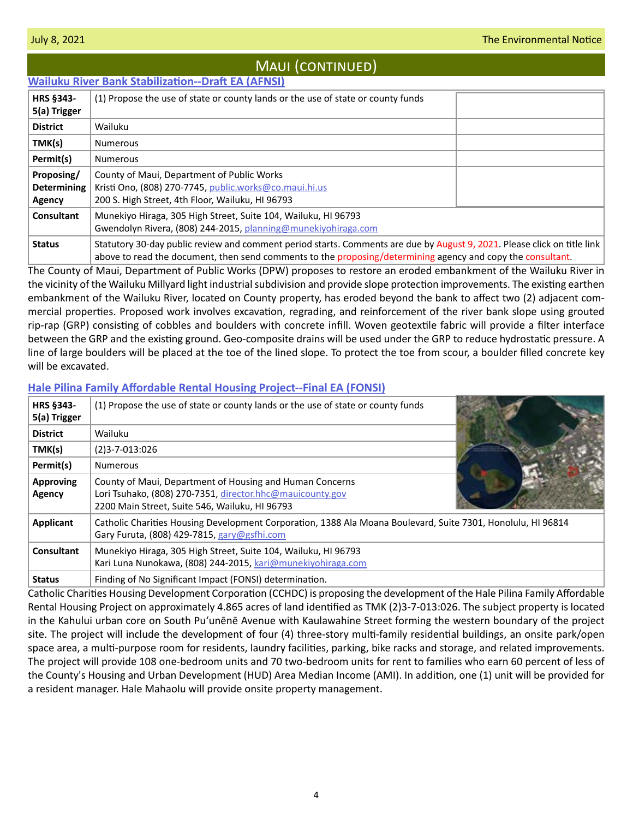# Maui (continued)

<span id="page-3-0"></span>

| <b>Wailuku River Bank Stabilization--Draft EA (AFNSI)</b> |                                                                                                                                                                                                                                         |  |  |
|-----------------------------------------------------------|-----------------------------------------------------------------------------------------------------------------------------------------------------------------------------------------------------------------------------------------|--|--|
| <b>HRS §343-</b>                                          | (1) Propose the use of state or county lands or the use of state or county funds                                                                                                                                                        |  |  |
| 5(a) Trigger                                              |                                                                                                                                                                                                                                         |  |  |
| <b>District</b>                                           | Wailuku                                                                                                                                                                                                                                 |  |  |
| TMK(s)                                                    | <b>Numerous</b>                                                                                                                                                                                                                         |  |  |
| Permit(s)                                                 | <b>Numerous</b>                                                                                                                                                                                                                         |  |  |
| Proposing/                                                | County of Maui, Department of Public Works                                                                                                                                                                                              |  |  |
| <b>Determining</b>                                        | Kristi Ono, (808) 270-7745, public.works@co.maui.hi.us                                                                                                                                                                                  |  |  |
| Agency                                                    | 200 S. High Street, 4th Floor, Wailuku, HI 96793                                                                                                                                                                                        |  |  |
| Consultant                                                | Munekiyo Hiraga, 305 High Street, Suite 104, Wailuku, HI 96793                                                                                                                                                                          |  |  |
|                                                           | Gwendolyn Rivera, (808) 244-2015, planning@munekiyohiraga.com                                                                                                                                                                           |  |  |
| <b>Status</b>                                             | Statutory 30-day public review and comment period starts. Comments are due by August 9, 2021. Please click on title link<br>above to read the document, then send comments to the proposing/determining agency and copy the consultant. |  |  |

The County of Maui, Department of Public Works (DPW) proposes to restore an eroded embankment of the Wailuku River in the vicinity of the Wailuku Millyard light industrial subdivision and provide slope protection improvements. The existing earthen embankment of the Wailuku River, located on County property, has eroded beyond the bank to affect two (2) adjacent commercial properties. Proposed work involves excavation, regrading, and reinforcement of the river bank slope using grouted rip-rap (GRP) consisting of cobbles and boulders with concrete infill. Woven geotextile fabric will provide a filter interface between the GRP and the existing ground. Geo-composite drains will be used under the GRP to reduce hydrostatic pressure. A line of large boulders will be placed at the toe of the lined slope. To protect the toe from scour, a boulder filled concrete key will be excavated.

## **[Hale Pilina Family Affordable Rental Housing Project--Final EA \(FONSI\)](http://oeqc2.doh.hawaii.gov/Doc_Library/2021-07-08-MA-FEA-Hale-Pilina-Family-Affordable-Rental-Housing-Project.pdf)**

| HRS §343-<br>5(a) Trigger  | (1) Propose the use of state or county lands or the use of state or county funds                                                                                        |  |
|----------------------------|-------------------------------------------------------------------------------------------------------------------------------------------------------------------------|--|
| <b>District</b>            | Wailuku                                                                                                                                                                 |  |
| TMK(s)                     | $(2)3 - 7 - 013:026$                                                                                                                                                    |  |
| Permit(s)                  | <b>Numerous</b>                                                                                                                                                         |  |
| <b>Approving</b><br>Agency | County of Maui, Department of Housing and Human Concerns<br>Lori Tsuhako, (808) 270-7351, director.hhc@mauicounty.gov<br>2200 Main Street, Suite 546, Wailuku, HI 96793 |  |
| <b>Applicant</b>           | Catholic Charities Housing Development Corporation, 1388 Ala Moana Boulevard, Suite 7301, Honolulu, HI 96814<br>Gary Furuta, (808) 429-7815, gary@gsfhi.com             |  |
| <b>Consultant</b>          | Munekiyo Hiraga, 305 High Street, Suite 104, Wailuku, HI 96793<br>Kari Luna Nunokawa, (808) 244-2015, kari@munekiyohiraga.com                                           |  |
| <b>Status</b>              | Finding of No Significant Impact (FONSI) determination.                                                                                                                 |  |

Catholic Charities Housing Development Corporation (CCHDC) is proposing the development of the Hale Pilina Family Affordable Rental Housing Project on approximately 4.865 acres of land identified as TMK (2)3-7-013:026. The subject property is located in the Kahului urban core on South Puʻunēnē Avenue with Kaulawahine Street forming the western boundary of the project site. The project will include the development of four (4) three-story multi-family residential buildings, an onsite park/open space area, a multi-purpose room for residents, laundry facilities, parking, bike racks and storage, and related improvements. The project will provide 108 one-bedroom units and 70 two-bedroom units for rent to families who earn 60 percent of less of the County's Housing and Urban Development (HUD) Area Median Income (AMI). In addition, one (1) unit will be provided for a resident manager. Hale Mahaolu will provide onsite property management.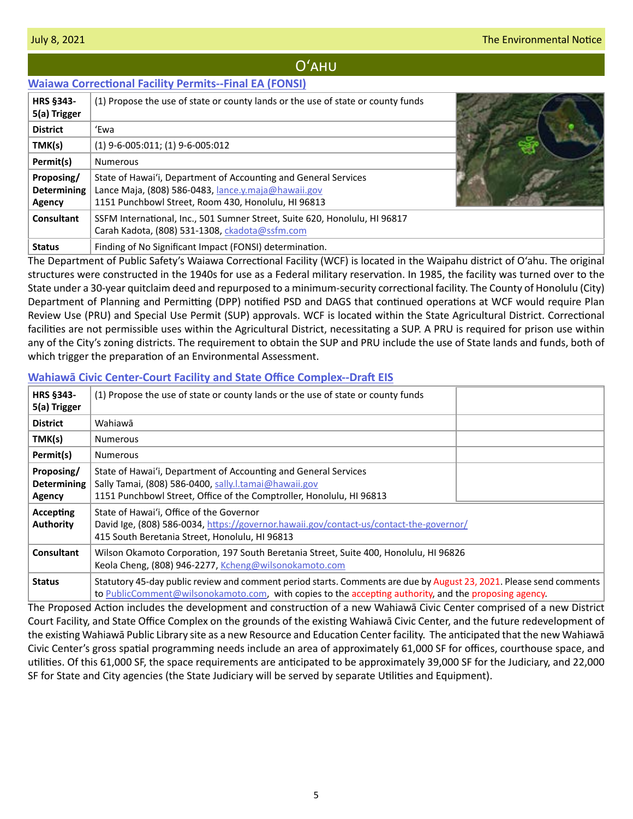# Oʻahu

## <span id="page-4-0"></span>**[Waiawa Correctional Facility Permits--Final EA \(FONSI\)](http://oeqc2.doh.hawaii.gov/Doc_Library/2021-07-08-OA-FEA-Waiawa-Correctional-Facility-permits.pdf)**

| <b>HRS §343-</b><br>5(a) Trigger           | (1) Propose the use of state or county lands or the use of state or county funds                                                                                              |  |
|--------------------------------------------|-------------------------------------------------------------------------------------------------------------------------------------------------------------------------------|--|
| <b>District</b>                            | 'Ewa                                                                                                                                                                          |  |
| TMK(s)                                     | $(1)$ 9-6-005:011; (1) 9-6-005:012                                                                                                                                            |  |
| Permit(s)                                  | <b>Numerous</b>                                                                                                                                                               |  |
| Proposing/<br><b>Determining</b><br>Agency | State of Hawai'i, Department of Accounting and General Services<br>Lance Maja, (808) 586-0483, lance y maja@hawaii.gov<br>1151 Punchbowl Street, Room 430, Honolulu, HI 96813 |  |
| Consultant                                 | SSFM International, Inc., 501 Sumner Street, Suite 620, Honolulu, HI 96817<br>Carah Kadota, (808) 531-1308, ckadota@ssfm.com                                                  |  |
| <b>Status</b>                              | Finding of No Significant Impact (FONSI) determination.                                                                                                                       |  |

The Department of Public Safety's Waiawa Correctional Facility (WCF) is located in the Waipahu district of O'ahu. The original structures were constructed in the 1940s for use as a Federal military reservation. In 1985, the facility was turned over to the State under a 30-year quitclaim deed and repurposed to a minimum-security correctional facility. The County of Honolulu (City) Department of Planning and Permitting (DPP) notified PSD and DAGS that continued operations at WCF would require Plan Review Use (PRU) and Special Use Permit (SUP) approvals. WCF is located within the State Agricultural District. Correctional facilities are not permissible uses within the Agricultural District, necessitating a SUP. A PRU is required for prison use within any of the City's zoning districts. The requirement to obtain the SUP and PRU include the use of State lands and funds, both of which trigger the preparation of an Environmental Assessment.

| HRS §343-<br>5(a) Trigger                  | (1) Propose the use of state or county lands or the use of state or county funds                                                                                                                                             |  |  |
|--------------------------------------------|------------------------------------------------------------------------------------------------------------------------------------------------------------------------------------------------------------------------------|--|--|
| <b>District</b>                            | Wahiawā                                                                                                                                                                                                                      |  |  |
| TMK(s)                                     | <b>Numerous</b>                                                                                                                                                                                                              |  |  |
| Permit(s)                                  | <b>Numerous</b>                                                                                                                                                                                                              |  |  |
| Proposing/<br><b>Determining</b><br>Agency | State of Hawai'i, Department of Accounting and General Services<br>Sally Tamai, (808) 586-0400, sally.l.tamai@hawaii.gov<br>1151 Punchbowl Street, Office of the Comptroller, Honolulu, HI 96813                             |  |  |
| Accepting<br><b>Authority</b>              | State of Hawai'i, Office of the Governor<br>David Ige, (808) 586-0034, https://governor.hawaii.gov/contact-us/contact-the-governor/<br>415 South Beretania Street, Honolulu, HI 96813                                        |  |  |
| Consultant                                 | Wilson Okamoto Corporation, 197 South Beretania Street, Suite 400, Honolulu, HI 96826<br>Keola Cheng, (808) 946-2277, Kcheng@wilsonokamoto.com                                                                               |  |  |
| <b>Status</b>                              | Statutory 45-day public review and comment period starts. Comments are due by August 23, 2021. Please send comments<br>to PublicComment@wilsonokamoto.com, with copies to the accepting authority, and the proposing agency. |  |  |

## **[Wahiawā Civic Center-Court Facility and State Office Complex--Draft EIS](http://oeqc2.doh.hawaii.gov/Doc_Library/2021-07-08-OA-DEIS-Wahiawa-Civic-Center-Court-Facility-and-State-Office-Complex.pdf)**

The Proposed Action includes the development and construction of a new Wahiawā Civic Center comprised of a new District Court Facility, and State Office Complex on the grounds of the existing Wahiawā Civic Center, and the future redevelopment of the existing Wahiawā Public Library site as a new Resource and Education Center facility. The anticipated that the new Wahiawā Civic Center's gross spatial programming needs include an area of approximately 61,000 SF for offices, courthouse space, and utilities. Of this 61,000 SF, the space requirements are anticipated to be approximately 39,000 SF for the Judiciary, and 22,000 SF for State and City agencies (the State Judiciary will be served by separate Utilities and Equipment).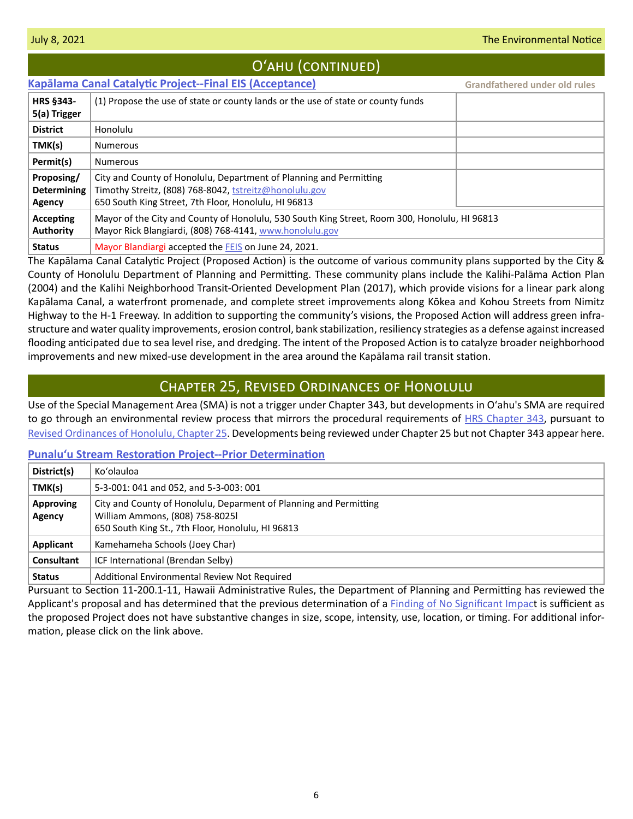<span id="page-5-0"></span>

| O'AHU (CONTINUED)                          |                                                                                                                                                                                      |                                      |  |  |
|--------------------------------------------|--------------------------------------------------------------------------------------------------------------------------------------------------------------------------------------|--------------------------------------|--|--|
|                                            | <b>Kapālama Canal Catalytic Project--Final EIS (Acceptance)</b>                                                                                                                      | <b>Grandfathered under old rules</b> |  |  |
| <b>HRS §343-</b><br>5(a) Trigger           | (1) Propose the use of state or county lands or the use of state or county funds                                                                                                     |                                      |  |  |
| <b>District</b>                            | Honolulu                                                                                                                                                                             |                                      |  |  |
| TMK(s)                                     | <b>Numerous</b>                                                                                                                                                                      |                                      |  |  |
| Permit(s)                                  | <b>Numerous</b>                                                                                                                                                                      |                                      |  |  |
| Proposing/<br><b>Determining</b><br>Agency | City and County of Honolulu, Department of Planning and Permitting<br>Timothy Streitz, (808) 768-8042, tstreitz@honolulu.gov<br>650 South King Street, 7th Floor, Honolulu, HI 96813 |                                      |  |  |
| Accepting<br><b>Authority</b>              | Mayor of the City and County of Honolulu, 530 South King Street, Room 300, Honolulu, HI 96813<br>Mayor Rick Blangiardi, (808) 768-4141, www.honolulu.gov                             |                                      |  |  |
| <b>Status</b>                              | Mayor Blandiargi accepted the FEIS on June 24, 2021.                                                                                                                                 |                                      |  |  |

The Kapālama Canal Catalytic Project (Proposed Action) is the outcome of various community plans supported by the City & County of Honolulu Department of Planning and Permitting. These community plans include the Kalihi-Palāma Action Plan (2004) and the Kalihi Neighborhood Transit-Oriented Development Plan (2017), which provide visions for a linear park along Kapālama Canal, a waterfront promenade, and complete street improvements along Kōkea and Kohou Streets from Nimitz Highway to the H-1 Freeway. In addition to supporting the community's visions, the Proposed Action will address green infrastructure and water quality improvements, erosion control, bank stabilization, resiliency strategies as a defense against increased flooding anticipated due to sea level rise, and dredging. The intent of the Proposed Action is to catalyze broader neighborhood improvements and new mixed-use development in the area around the Kapālama rail transit station.

# Chapter 25, Revised Ordinances of Honolulu

Use of the Special Management Area (SMA) is not a trigger under Chapter 343, but developments in Oʻahu's SMA are required to go through an environmental review process that mirrors the procedural requirements of [HRS Chapter 343](https://www.capitol.hawaii.gov/hrscurrent/Vol06_Ch0321-0344/HRS0343/HRS_0343-.htm), pursuant to [Revised Ordinances of Honolulu, Chapter 25.](https://www.honolulu.gov/rep/site/ocs/roh/ROH_Chapter_25_article_1_12.pdf) Developments being reviewed under Chapter 25 but not Chapter 343 appear here.

## **Punalu[ʻu Stream Restoration Project--Prior Determination](http://oeqc2.doh.hawaii.gov/Other_TEN_Publications/2021-07-08-OA-Chapter-25-Prior-Determination-Punaluu-Stream-Restoration-Project.pdf)**

| District(s)                | Ko'olauloa                                                                                                                                                |
|----------------------------|-----------------------------------------------------------------------------------------------------------------------------------------------------------|
| TMK(s)                     | 5-3-001: 041 and 052, and 5-3-003: 001                                                                                                                    |
| <b>Approving</b><br>Agency | City and County of Honolulu, Deparment of Planning and Permitting<br>William Ammons, (808) 758-80251<br>650 South King St., 7th Floor, Honolulu, HI 96813 |
| Applicant                  | Kamehameha Schools (Joey Char)                                                                                                                            |
| <b>Consultant</b>          | ICF International (Brendan Selby)                                                                                                                         |
| <b>Status</b>              | Additional Environmental Review Not Required                                                                                                              |

Pursuant to Section 11-200.1-11, Hawaii Administrative Rules, the Department of Planning and Permitting has reviewed the Applicant's proposal and has determined that the previous determination of a [Finding of No Significant Impac](http://oeqc2.doh.hawaii.gov/Other_TEN_Publications/2015-12-08-OA-Chapter-25-FEA-Punaluu-Stream-Restoration-Project.pdf)t is sufficient as the proposed Project does not have substantive changes in size, scope, intensity, use, location, or timing. For additional information, please click on the link above.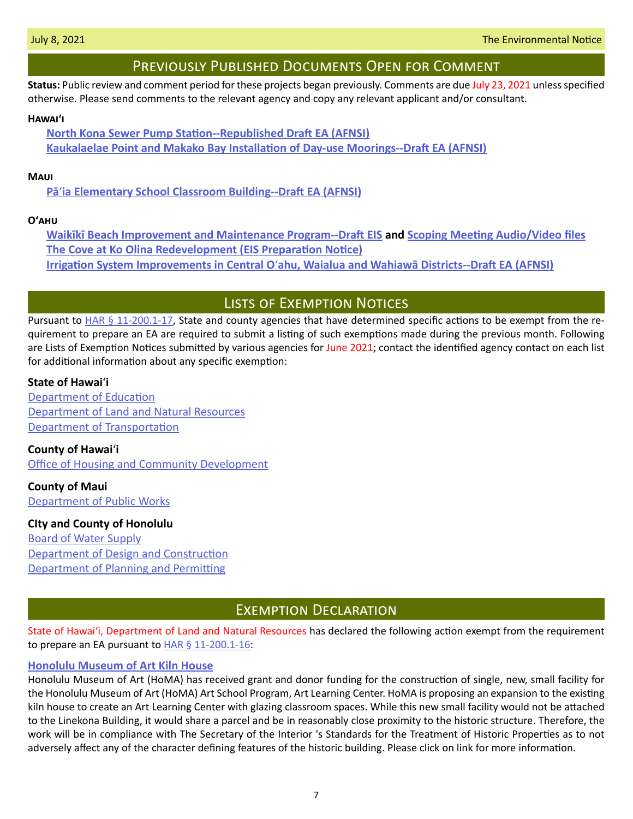# Previously Published Documents Open for Comment

<span id="page-6-0"></span>**Status:** Public review and comment period for these projects began previously. Comments are due July 23, 2021 unless specified otherwise. Please send comments to the relevant agency and copy any relevant applicant and/or consultant.

#### **Hawaiʻi**

**[North Kona Sewer Pump Station--Republished Draft EA \(AFNSI\)](http://oeqc2.doh.hawaii.gov/Doc_Library/2021-06-23-HA-DEA-Republication-of-North-Kona-Sewer-Pump-Station.pdf) [Kaukalaelae Point and Makako Bay Installation of Day-use Moorings--Draft EA \(AFNSI\)](http://oeqc2.doh.hawaii.gov/Doc_Library/2021-06-23-HA-DEA-Kaukalaelae-Point-and-Makako-Bay-Installation-of-Day-Use-Mooring-Buoys.pdf)**

## **Maui**

**Pā**ʻ**[ia Elementary School Classroom Building--Draft EA \(AFNSI\)](http://oeqc2.doh.hawaii.gov/Doc_Library/2021-06-23-MA-DEA-Paia-Elementary-School-New-Classroom-Building.pdf)**

## **Oʻahu**

**[Waikīkī Beach Improvement and Maintenance Program--Draft EIS](http://oeqc2.doh.hawaii.gov/Doc_Library/2021-06-08-OA-DEIS-Waikiki-Beach-Improvement-and-Maintenance-Program.pdf) and [Scoping Meeting Audio/Video files](http://oeqc2.doh.hawaii.gov/Doc_Library/2021-06-08-OA-DEIS-Waikiki-Beach-Improvement-and-Maintenance-Program-Scoping-Mtg-AV-Files.pdf) [The Cove at Ko Olina Redevelopment \(EIS Preparation Notice\)](http://oeqc2.doh.hawaii.gov/Doc_Library/2021-06-23-OA-EISPN-The-Cove-at-Ko-Olina-Redevelopment.pdf) Irrigation System Improvements in Central O**ʻ**[ahu, Waialua and Wahiawā Districts--Draft EA \(AFNSI\)](http://oeqc2.doh.hawaii.gov/Doc_Library/2021-06-23-OA-DEA-Irrigation-System-Improvements-for-Central-Oahu,-Wahiawa,-and,-Waialua-Districts.pdf)**

# Lists of Exemption Notices

Pursuant to  $HAR \S 11-200.1-17$ , State and county agencies that have determined specific actions to be exempt from the requirement to prepare an EA are required to submit a listing of such exemptions made during the previous month. Following are Lists of Exemption Notices submitted by various agencies for June 2021; contact the identified agency contact on each list for additional information about any specific exemption:

## **State of Hawai**ʻ**i**

[Department of Education](http://oeqc2.doh.hawaii.gov/List_Ex_Notice/2021-07-08-SOH-DOE-List-of-Exemption-Notices-Jun-2021.pdf) [Department of Land and Natural Resources](http://oeqc2.doh.hawaii.gov/List_Ex_Notice/2021-07-08-SOH-DLNR-List-of-Exemptions-Jun-2021.pdf) [Department of Transportation](http://oeqc2.doh.hawaii.gov/List_Ex_Notice/2021-07-08-SOH-DOT-List-of-Exemption-Notices-Jun-2021.pdf)

**County of Hawai**ʻ**i [Office of Housing and Community Development](http://oeqc2.doh.hawaii.gov/List_Ex_Notice/2021-07-08-COH-OHCD-List-of-Exemptions-Jun-2021.pdf)** 

**County of Maui** [Department of Public Works](http://oeqc2.doh.hawaii.gov/List_Ex_Notice/2021-07-08-COM-DPW-List-of-Exemptions-Jun-2021.pdf)

## **CIty and County of Honolulu**

[Board of Water Supply](http://oeqc2.doh.hawaii.gov/List_Ex_Notice/2021-07-08-CCH-BWS-List-of-Exemptions-Mar-May-Jun-2021.pdf) [Department of Design and Construction](http://oeqc2.doh.hawaii.gov/List_Ex_Notice/2021-07-08-CCH-DDC-List-of-Exemptions-Jun-2021.pdf) [Department of Planning and Permitting](http://oeqc2.doh.hawaii.gov/List_Ex_Notice/2021-07-08-CCH-DPP-List-of-Exemptions-Jun-2021.pdf)

# Exemption Declaration

State of Hawaiʻi, Department of Land and Natural Resources has declared the following action exempt from the requirement to prepare an EA pursuant to **HAR § 11-200.1-16**:

## **[Honolulu Museum of Art Kiln House](http://oeqc2.doh.hawaii.gov/Other_TEN_Publications/2021-07-08-OA-Exemption-DLNR-Honolulu-Museum-of-Art-Kiln-House.pdf)**

Honolulu Museum of Art (HoMA) has received grant and donor funding for the construction of single, new, small facility for the Honolulu Museum of Art (HoMA) Art School Program, Art Learning Center. HoMA is proposing an expansion to the existing kiln house to create an Art Learning Center with glazing classroom spaces. While this new small facility would not be attached to the Linekona Building, it would share a parcel and be in reasonably close proximity to the historic structure. Therefore, the work will be in compliance with The Secretary of the Interior 's Standards for the Treatment of Historic Properties as to not adversely affect any of the character defining features of the historic building. Please click on link for more information.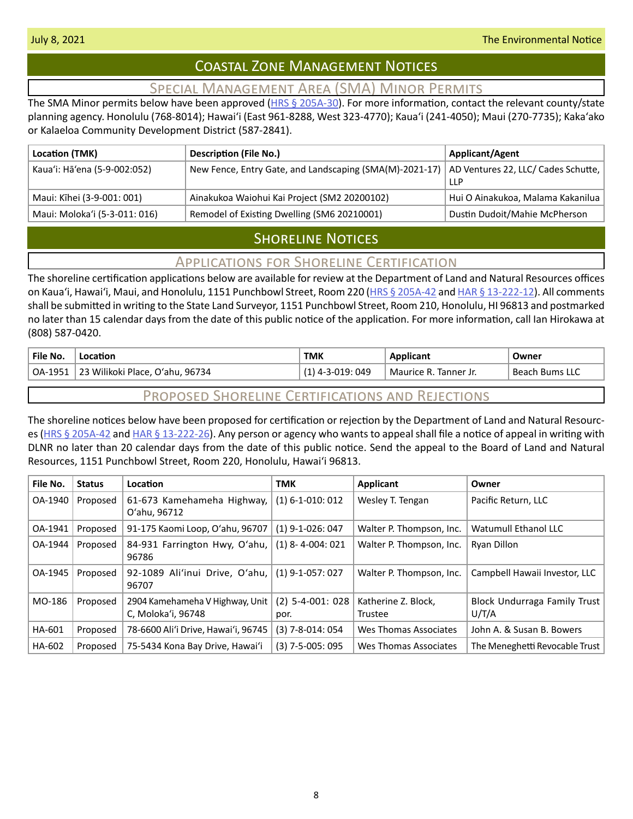# Coastal Zone Management Notices

# Special Management Area (SMA) Minor Permits

<span id="page-7-0"></span>The SMA Minor permits below have been approved ( $HRS \S 205A-30$ ). For more information, contact the relevant county/state planning agency. Honolulu (768-8014); Hawaiʻi (East 961-8288, West 323-4770); Kauaʻi (241-4050); Maui (270-7735); Kakaʻako or Kalaeloa Community Development District (587-2841).

| Location (TMK)                | <b>Description (File No.)</b>                           | <b>Applicant/Agent</b>                              |
|-------------------------------|---------------------------------------------------------|-----------------------------------------------------|
| Kaua'i: Hā'ena (5-9-002:052)  | New Fence, Entry Gate, and Landscaping (SMA(M)-2021-17) | AD Ventures 22, LLC/ Cades Schutte,  <br><b>LLP</b> |
| Maui: Kīhei (3-9-001: 001)    | Ainakukoa Waiohui Kai Project (SM2 20200102)            | Hui O Ainakukoa, Malama Kakanilua                   |
| Maui: Moloka'i (5-3-011: 016) | Remodel of Existing Dwelling (SM6 20210001)             | Dustin Dudoit/Mahie McPherson                       |

# **SHORELINE NOTICES**

# Applications for Shoreline Certification

The shoreline certification applications below are available for review at the Department of Land and Natural Resources offices on Kaua'i, Hawai'i, Maui, and Honolulu, 1151 Punchbowl Street, Room 220 ([HRS § 205A-42](https://www.capitol.hawaii.gov/hrscurrent/Vol04_Ch0201-0257/HRS0205A/HRS_0205A-0042.htm) and [HAR § 13-222-12\)](https://dlnr.hawaii.gov/ld/files/2013/07/Ch13-222-Amend-Compil-Stand-Rev1.pdf). All comments shall be submitted in writing to the State Land Surveyor, 1151 Punchbowl Street, Room 210, Honolulu, HI 96813 and postmarked no later than 15 calendar days from the date of this public notice of the application. For more information, call Ian Hirokawa at (808) 587-0420.

| File No. | Location                        | тмк            | Applicant             | Owner             |
|----------|---------------------------------|----------------|-----------------------|-------------------|
| OA-1951  | 23 Wilikoki Place, O'ahu, 96734 | 4-3-019: 049 ا | Maurice R. Tanner Jr. | Bums LLC<br>Beach |

# Proposed Shoreline Certifications and Rejections

The shoreline notices below have been proposed for certification or rejection by the Department of Land and Natural Resources [\(HRS § 205A-42](http://HRS § 205A-42) and [HAR § 13-222-26\)](https://dlnr.hawaii.gov/ld/files/2013/07/Ch13-222-Amend-Compil-Stand-Rev1.pdf). Any person or agency who wants to appeal shall file a notice of appeal in writing with DLNR no later than 20 calendar days from the date of this public notice. Send the appeal to the Board of Land and Natural Resources, 1151 Punchbowl Street, Room 220, Honolulu, Hawai'i 96813.

| File No. | <b>Status</b> | Location                                              | <b>TMK</b>                 | Applicant                      | Owner                                 |
|----------|---------------|-------------------------------------------------------|----------------------------|--------------------------------|---------------------------------------|
| OA-1940  | Proposed      | 61-673 Kamehameha Highway,<br>O'ahu, 96712            | $(1)$ 6-1-010: 012         | Wesley T. Tengan               | Pacific Return, LLC                   |
| OA-1941  | Proposed      | 91-175 Kaomi Loop, O'ahu, 96707                       | $(1)$ 9-1-026: 047         | Walter P. Thompson, Inc.       | Watumull Ethanol LLC                  |
| OA-1944  | Proposed      | 84-931 Farrington Hwy, O'ahu,<br>96786                | $(1)$ 8-4-004: 021         | Walter P. Thompson, Inc.       | Ryan Dillon                           |
| OA-1945  | Proposed      | 92-1089 Ali'inui Drive, O'ahu,<br>96707               | $(1)$ 9-1-057: 027         | Walter P. Thompson, Inc.       | Campbell Hawaii Investor, LLC         |
| MO-186   | Proposed      | 2904 Kamehameha V Highway, Unit<br>C, Moloka'i, 96748 | $(2)$ 5-4-001: 028<br>por. | Katherine Z. Block,<br>Trustee | Block Undurraga Family Trust<br>U/T/A |
| HA-601   | Proposed      | 78-6600 Ali'i Drive, Hawai'i, 96745                   | $(3)$ 7-8-014: 054         | Wes Thomas Associates          | John A. & Susan B. Bowers             |
| HA-602   | Proposed      | 75-5434 Kona Bay Drive, Hawai'i                       | $(3)$ 7-5-005: 095         | Wes Thomas Associates          | The Meneghetti Revocable Trust        |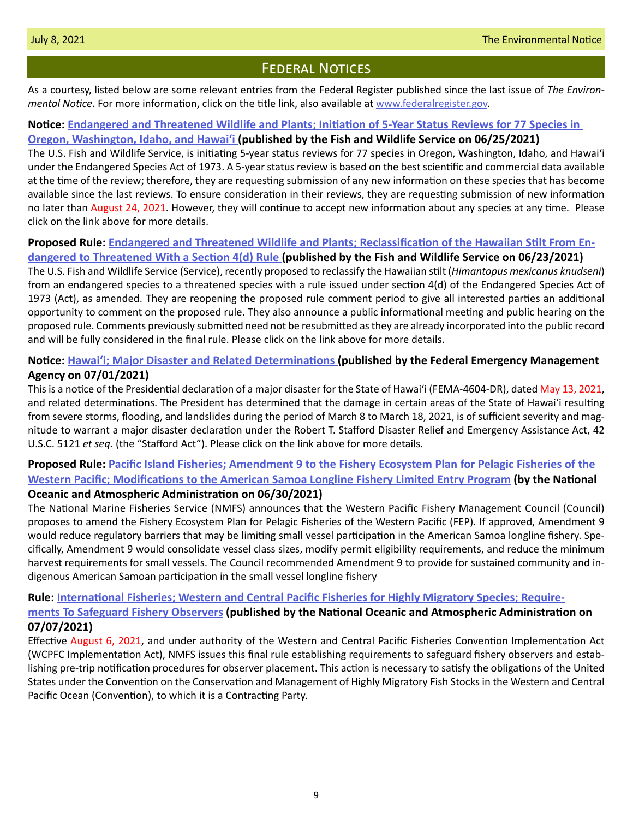# **FEDERAL NOTICES**

<span id="page-8-0"></span>As a courtesy, listed below are some relevant entries from the Federal Register published since the last issue of *The Environmental Notice*. For more information, click on the title link, also available at [www.federalregister.gov](http://www.federalregister.gov).

## **Notice: [Endangered and Threatened Wildlife and Plants; Initiation of 5-Year Status Reviews for 77 Species in](https://www.federalregister.gov/documents/2021/06/25/2021-13534/endangered-and-threatened-wildlife-and-plants-initiation-of-5-year-status-reviews-for-77-species-in)  [Oregon, Washington, Idaho, and Hawaiʻ](https://www.federalregister.gov/documents/2021/06/25/2021-13534/endangered-and-threatened-wildlife-and-plants-initiation-of-5-year-status-reviews-for-77-species-in)i (published by the Fish and Wildlife Service on 06/25/2021)**

The U.S. Fish and Wildlife Service, is initiating 5-year status reviews for 77 species in Oregon, Washington, Idaho, and Hawaiʻi under the Endangered Species Act of 1973. A 5-year status review is based on the best scientific and commercial data available at the time of the review; therefore, they are requesting submission of any new information on these species that has become available since the last reviews. To ensure consideration in their reviews, they are requesting submission of new information no later than August 24, 2021. However, they will continue to accept new information about any species at any time. Please click on the link above for more details.

# **Proposed Rule: [Endangered and Threatened Wildlife and Plants; Reclassification of the Hawaiian Stilt From En-](https://www.federalregister.gov/documents/2021/06/23/2021-13290/endangered-and-threatened-wildlife-and-plants-reclassification-of-the-hawaiian-stilt-from-endangered)**

**[dangered to Threatened With a Section 4\(d\) Rule \(](https://www.federalregister.gov/documents/2021/06/23/2021-13290/endangered-and-threatened-wildlife-and-plants-reclassification-of-the-hawaiian-stilt-from-endangered)published by the Fish and Wildlife Service on 06/23/2021)**

The U.S. Fish and Wildlife Service (Service), recently proposed to reclassify the Hawaiian stilt (*Himantopus mexicanus knudseni*) from an endangered species to a threatened species with a rule issued under section 4(d) of the Endangered Species Act of 1973 (Act), as amended. They are reopening the proposed rule comment period to give all interested parties an additional opportunity to comment on the proposed rule. They also announce a public informational meeting and public hearing on the proposed rule. Comments previously submitted need not be resubmitted as they are already incorporated into the public record and will be fully considered in the final rule. Please click on the link above for more details.

# **Notice: [Hawaiʻi; Major Disaster and Related Determinations](https://www.federalregister.gov/documents/2021/07/01/2021-14102/hawaii-major-disaster-and-related-determinations) [\(](https://www.federalregister.gov/documents/2021/06/25/2021-13534/endangered-and-threatened-wildlife-and-plants-initiation-of-5-year-status-reviews-for-77-species-in)published by the Federal Emergency Management Agency on 07/01/2021)**

This is a notice of the Presidential declaration of a major disaster for the State of Hawaiʻi (FEMA-4604-DR), dated May 13, 2021, and related determinations. The President has determined that the damage in certain areas of the State of Hawaiʻi resulting from severe storms, flooding, and landslides during the period of March 8 to March 18, 2021, is of sufficient severity and magnitude to warrant a major disaster declaration under the Robert T. Stafford Disaster Relief and Emergency Assistance Act, 42 U.S.C. 5121 *et seq.* (the "Stafford Act"). Please click on the link above for more details.

## **Proposed Rule: [Pacific Island Fisheries; Amendment 9 to the Fishery Ecosystem Plan for Pelagic Fisheries of the](https://www.federalregister.gov/documents/2021/06/30/2021-13970/pacific-island-fisheries-amendment-9-to-the-fishery-ecosystem-plan-for-pelagic-fisheries-of-the)  [Western Pacific; Modifications to the American Samoa Longline Fishery Limited Entry Program](https://www.federalregister.gov/documents/2021/06/30/2021-13970/pacific-island-fisheries-amendment-9-to-the-fishery-ecosystem-plan-for-pelagic-fisheries-of-the) (by the National Oceanic and Atmospheric Administration on 06/30/2021)**

The National Marine Fisheries Service (NMFS) announces that the Western Pacific Fishery Management Council (Council) proposes to amend the Fishery Ecosystem Plan for Pelagic Fisheries of the Western Pacific (FEP). If approved, Amendment 9 would reduce regulatory barriers that may be limiting small vessel participation in the American Samoa longline fishery. Specifically, Amendment 9 would consolidate vessel class sizes, modify permit eligibility requirements, and reduce the minimum harvest requirements for small vessels. The Council recommended Amendment 9 to provide for sustained community and indigenous American Samoan participation in the small vessel longline fishery

## **Rule: [International Fisheries; Western and Central Pacific Fisheries for Highly Migratory Species; Require-](https://www.federalregister.gov/documents/2021/07/07/2021-14256/international-fisheries-western-and-central-pacific-fisheries-for-highly-migratory-species)**

## **[ments To Safeguard Fishery Observers](https://www.federalregister.gov/documents/2021/07/07/2021-14256/international-fisheries-western-and-central-pacific-fisheries-for-highly-migratory-species) (published by the National Oceanic and Atmospheric Administration on 07/07/2021)**

Effective August 6, 2021, and under authority of the Western and Central Pacific Fisheries Convention Implementation Act (WCPFC Implementation Act), NMFS issues this final rule establishing requirements to safeguard fishery observers and establishing pre-trip notification procedures for observer placement. This action is necessary to satisfy the obligations of the United States under the Convention on the Conservation and Management of Highly Migratory Fish Stocks in the Western and Central Pacific Ocean (Convention), to which it is a Contracting Party.